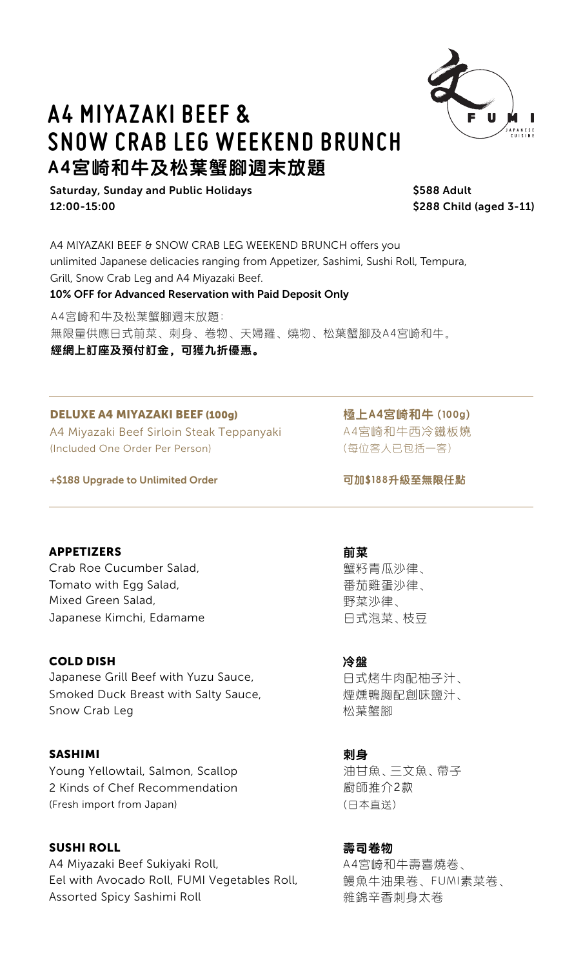

# **A4 MIYAZAKI BEEF & SNOW CRAB LEG WEEKEND BRUNCH A4宮崎和牛及松葉蟹腳週末放題**

Saturday, Sunday and Public Holidays 12:00-15:00

\$588 Adult \$288 Child (aged 3-11)

A4 MIYAZAKI BEEF & SNOW CRAB LEG WEEKEND BRUNCH offers you unlimited Japanese delicacies ranging from Appetizer, Sashimi, Sushi Roll, Tempura, Grill, Snow Crab Leg and A4 Miyazaki Beef.

## 10% OFF for Advanced Reservation with Paid Deposit Only

A4宮崎和牛及松葉蟹腳週末放題: 無限量供應日式前菜、刺身、卷物、天婦羅、燒物、松葉蟹腳及A4宮崎和牛。 **經網上訂座及預付訂金,可獲九折優惠。**

### DELUXE A4 MIYAZAKI BEEF (100g)

A4 Miyazaki Beef Sirloin Steak Teppanyaki (Included One Order Per Person)

# **極上A4宮崎和牛 (100g)** A4宮崎和牛西冷鐵板燒 (每位客人已包括一客)

+\$188 Upgrade to Unlimited Order

#### APPETIZERS

Crab Roe Cucumber Salad, Tomato with Egg Salad, Mixed Green Salad, Japanese Kimchi, Edamame

#### COLD DISH

Japanese Grill Beef with Yuzu Sauce, Smoked Duck Breast with Salty Sauce, Snow Crab Leg

#### SASHIMI

Young Yellowtail, Salmon, Scallop 2 Kinds of Chef Recommendation (Fresh import from Japan)

SUSHI ROLL A4 Miyazaki Beef Sukiyaki Roll, Eel with Avocado Roll, FUMI Vegetables Roll, Assorted Spicy Sashimi Roll

**可加\$188升級至無限任點**

**前菜** 蟹籽青瓜沙律、

番茄雞蛋沙律、 野菜沙律、 日式泡菜、枝豆

#### **冷盤**

日式烤牛肉配柚子汁、 煙燻鴨胸配創味鹽汁、 松葉蟹腳

**剌身** 油甘魚、三文魚、帶子 廚師推介2款 (日本直送)

**壽司卷物**

A4宮崎和牛壽喜燒卷、 鰻魚牛油果卷、FUMI素菜卷、 雜錦辛香刺身太卷